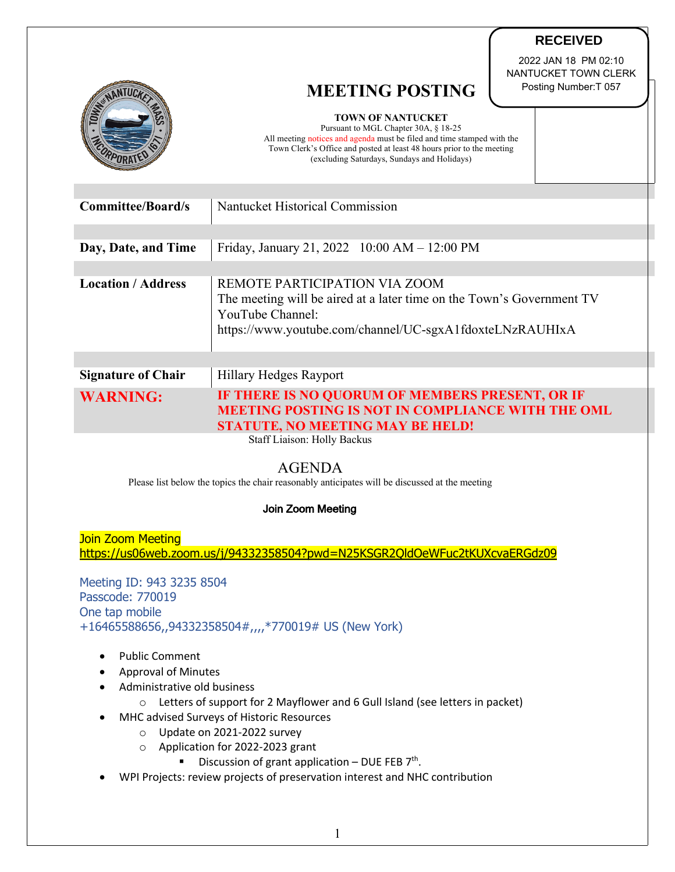|                           | <b>MEETING POSTING</b><br><b>TOWN OF NANTUCKET</b><br>Pursuant to MGL Chapter 30A, § 18-25<br>All meeting notices and agenda must be filed and time stamped with the                   | 2022 JAN 18 PM 02:10<br>NANTUCKET TOWN CLERK<br>Posting Number: T 057 |  |
|---------------------------|----------------------------------------------------------------------------------------------------------------------------------------------------------------------------------------|-----------------------------------------------------------------------|--|
|                           | Town Clerk's Office and posted at least 48 hours prior to the meeting<br>(excluding Saturdays, Sundays and Holidays)                                                                   |                                                                       |  |
| <b>Committee/Board/s</b>  | Nantucket Historical Commission                                                                                                                                                        |                                                                       |  |
|                           |                                                                                                                                                                                        |                                                                       |  |
| Day, Date, and Time       | Friday, January 21, 2022 10:00 AM - 12:00 PM                                                                                                                                           |                                                                       |  |
|                           |                                                                                                                                                                                        |                                                                       |  |
| <b>Location / Address</b> | REMOTE PARTICIPATION VIA ZOOM<br>The meeting will be aired at a later time on the Town's Government TV<br>YouTube Channel:<br>https://www.youtube.com/channel/UC-sgxA1fdoxteLNzRAUHIxA |                                                                       |  |
|                           |                                                                                                                                                                                        |                                                                       |  |
| <b>Signature of Chair</b> | Hillary Hedges Rayport                                                                                                                                                                 |                                                                       |  |
| <b>WARNING:</b>           | IF THERE IS NO QUORUM OF MEMBERS PRESENT, OR IF<br><b>MEETING POSTING IS NOT IN COMPLIANCE WITH THE OML</b><br><b>STATUTE, NO MEETING MAY BE HELD!</b>                                 |                                                                       |  |
|                           | Staff Liaison: Holly Backus                                                                                                                                                            |                                                                       |  |
|                           | AGENIDA                                                                                                                                                                                |                                                                       |  |

**RECEIVED**

## AGENDA

Please list below the topics the chair reasonably anticipates will be discussed at the meeting

## Join Zoom Meeting

Join Zoom Meeting https://us06web.zoom.us/j/94332358504?pwd=N25KSGR2QldOeWFuc2tKUXcvaERGdz09

Meeting ID: 943 3235 8504 Passcode: 770019 One tap mobile +16465588656,,94332358504#,,,,\*770019# US (New York)

- Public Comment
- Approval of Minutes
- Administrative old business
	- o Letters of support for 2 Mayflower and 6 Gull Island (see letters in packet)
- MHC advised Surveys of Historic Resources
	- o Update on 2021-2022 survey
	- o Application for 2022-2023 grant
		- **•** Discussion of grant application DUE FEB  $7<sup>th</sup>$ .
- WPI Projects: review projects of preservation interest and NHC contribution